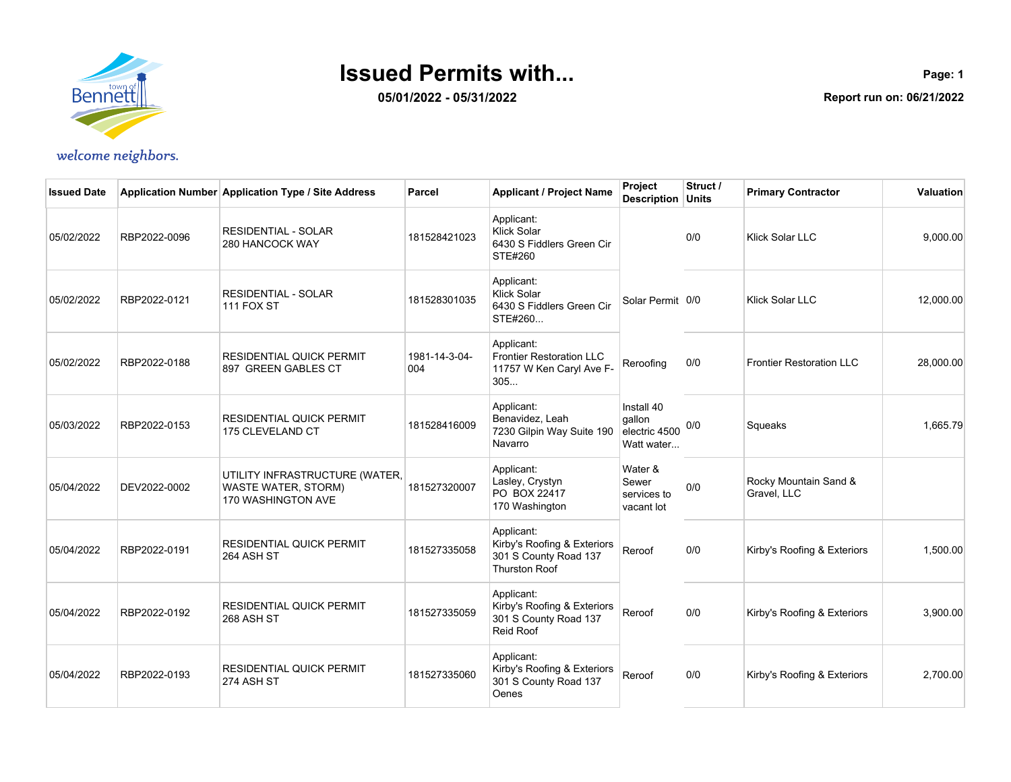

**05/01/2022 - 05/31/2022**

**Page: 1 Report run on: 06/21/2022**

| <b>Issued Date</b> |              | Application Number Application Type / Site Address                                 | Parcel               | <b>Applicant / Project Name</b>                                                            | Project<br><b>Description Units</b>                 | Struct / | <b>Primary Contractor</b>            | Valuation |
|--------------------|--------------|------------------------------------------------------------------------------------|----------------------|--------------------------------------------------------------------------------------------|-----------------------------------------------------|----------|--------------------------------------|-----------|
| 05/02/2022         | RBP2022-0096 | <b>RESIDENTIAL - SOLAR</b><br>280 HANCOCK WAY                                      | 181528421023         | Applicant:<br><b>Klick Solar</b><br>6430 S Fiddlers Green Cir<br>STE#260                   |                                                     | 0/0      | <b>Klick Solar LLC</b>               | 9,000.00  |
| 05/02/2022         | RBP2022-0121 | <b>RESIDENTIAL - SOLAR</b><br>111 FOX ST                                           | 181528301035         | Applicant:<br>Klick Solar<br>6430 S Fiddlers Green Cir<br>STE#260                          | Solar Permit 0/0                                    |          | <b>Klick Solar LLC</b>               | 12,000.00 |
| 05/02/2022         | RBP2022-0188 | <b>RESIDENTIAL QUICK PERMIT</b><br>897 GREEN GABLES CT                             | 1981-14-3-04-<br>004 | Applicant:<br><b>Frontier Restoration LLC</b><br>11757 W Ken Caryl Ave F-<br>305           | Reroofing                                           | 0/0      | <b>Frontier Restoration LLC</b>      | 28,000.00 |
| 05/03/2022         | RBP2022-0153 | <b>RESIDENTIAL QUICK PERMIT</b><br>175 CLEVELAND CT                                | 181528416009         | Applicant:<br>Benavidez, Leah<br>7230 Gilpin Way Suite 190<br>Navarro                      | Install 40<br>gallon<br>electric 4500<br>Watt water | 0/0      | Squeaks                              | 1,665.79  |
| 05/04/2022         | DEV2022-0002 | UTILITY INFRASTRUCTURE (WATER,<br><b>WASTE WATER, STORM)</b><br>170 WASHINGTON AVE | 181527320007         | Applicant:<br>Lasley, Crystyn<br>PO BOX 22417<br>170 Washington                            | Water &<br>Sewer<br>services to<br>vacant lot       | 0/0      | Rocky Mountain Sand &<br>Gravel, LLC |           |
| 05/04/2022         | RBP2022-0191 | <b>RESIDENTIAL QUICK PERMIT</b><br>264 ASH ST                                      | 181527335058         | Applicant:<br>Kirby's Roofing & Exteriors<br>301 S County Road 137<br><b>Thurston Roof</b> | Reroof                                              | 0/0      | Kirby's Roofing & Exteriors          | 1,500.00  |
| 05/04/2022         | RBP2022-0192 | <b>RESIDENTIAL QUICK PERMIT</b><br>268 ASH ST                                      | 181527335059         | Applicant:<br>Kirby's Roofing & Exteriors<br>301 S County Road 137<br><b>Reid Roof</b>     | Reroof                                              | 0/0      | Kirby's Roofing & Exteriors          | 3,900.00  |
| 05/04/2022         | RBP2022-0193 | <b>RESIDENTIAL QUICK PERMIT</b><br>274 ASH ST                                      | 181527335060         | Applicant:<br>Kirby's Roofing & Exteriors<br>301 S County Road 137<br><b>Oenes</b>         | Reroof                                              | 0/0      | Kirby's Roofing & Exteriors          | 2,700.00  |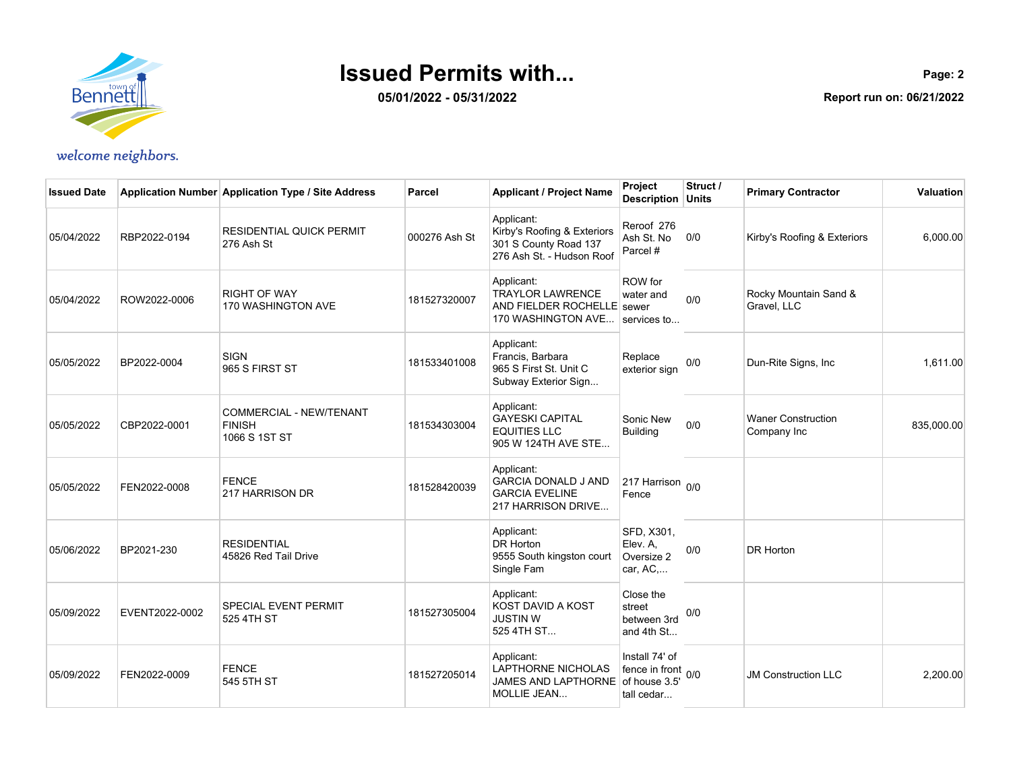

**05/01/2022 - 05/31/2022**

| <b>Issued Date</b> |                | Application Number Application Type / Site Address        | Parcel        | <b>Applicant / Project Name</b>                                                                 | Project<br>Description Units                            | Struct / | <b>Primary Contractor</b>                | <b>Valuation</b> |
|--------------------|----------------|-----------------------------------------------------------|---------------|-------------------------------------------------------------------------------------------------|---------------------------------------------------------|----------|------------------------------------------|------------------|
| 05/04/2022         | RBP2022-0194   | <b>RESIDENTIAL QUICK PERMIT</b><br>276 Ash St             | 000276 Ash St | Applicant:<br>Kirby's Roofing & Exteriors<br>301 S County Road 137<br>276 Ash St. - Hudson Roof | Reroof 276<br>Ash St. No<br>Parcel #                    | 0/0      | Kirby's Roofing & Exteriors              | 6,000.00         |
| 05/04/2022         | ROW2022-0006   | <b>RIGHT OF WAY</b><br>170 WASHINGTON AVE                 | 181527320007  | Applicant:<br><b>TRAYLOR LAWRENCE</b><br>AND FIELDER ROCHELLE sewer<br>170 WASHINGTON AVE       | ROW for<br>water and<br>services to                     | 0/0      | Rocky Mountain Sand &<br>Gravel, LLC     |                  |
| 05/05/2022         | BP2022-0004    | <b>SIGN</b><br>965 S FIRST ST                             | 181533401008  | Applicant:<br>Francis, Barbara<br>965 S First St. Unit C<br>Subway Exterior Sign                | Replace<br>exterior sign                                | 0/0      | Dun-Rite Signs, Inc                      | 1.611.00         |
| 05/05/2022         | CBP2022-0001   | COMMERCIAL - NEW/TENANT<br><b>FINISH</b><br>1066 S 1ST ST | 181534303004  | Applicant:<br><b>GAYESKI CAPITAL</b><br><b>EQUITIES LLC</b><br>905 W 124TH AVE STE              | Sonic New<br><b>Building</b>                            | 0/0      | <b>Waner Construction</b><br>Company Inc | 835,000.00       |
| 05/05/2022         | FEN2022-0008   | <b>FENCE</b><br>217 HARRISON DR                           | 181528420039  | Applicant:<br><b>GARCIA DONALD J AND</b><br><b>GARCIA EVELINE</b><br>217 HARRISON DRIVE         | 217 Harrison 0/0<br>Fence                               |          |                                          |                  |
| 05/06/2022         | BP2021-230     | <b>RESIDENTIAL</b><br>45826 Red Tail Drive                |               | Applicant:<br>DR Horton<br>9555 South kingston court<br>Single Fam                              | SFD, X301,<br>Elev. A.<br>Oversize 2<br>car, AC,        | 0/0      | <b>DR Horton</b>                         |                  |
| 05/09/2022         | EVENT2022-0002 | SPECIAL EVENT PERMIT<br>525 4TH ST                        | 181527305004  | Applicant:<br>KOST DAVID A KOST<br><b>JUSTIN W</b><br>525 4TH ST                                | Close the<br>street<br>between 3rd<br>and 4th St        | 0/0      |                                          |                  |
| 05/09/2022         | FEN2022-0009   | <b>FENCE</b><br>545 5TH ST                                | 181527205014  | Applicant:<br>LAPTHORNE NICHOLAS<br>JAMES AND LAPTHORNE of house 3.5'<br><b>MOLLIE JEAN</b>     | Install 74' of<br>fence in front $_{0/0}$<br>tall cedar |          | <b>JM Construction LLC</b>               | 2,200.00         |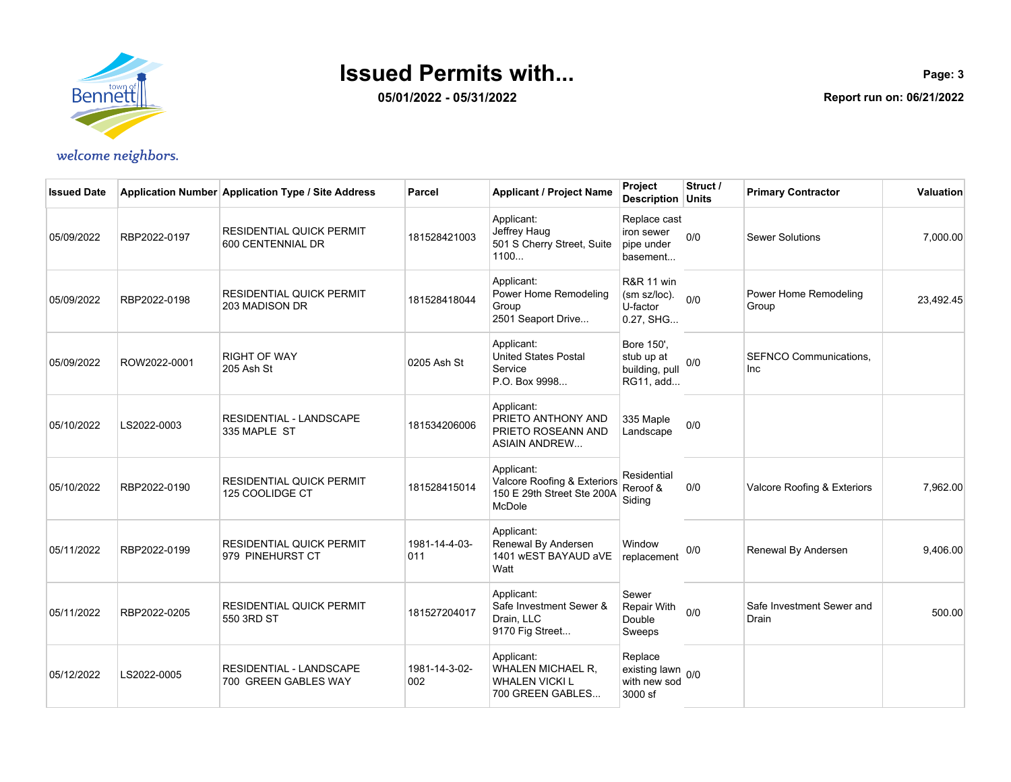

**05/01/2022 - 05/31/2022**

| <b>Issued Date</b> |              | Application Number Application Type / Site Address   | Parcel               | <b>Applicant / Project Name</b>                                                   | Project<br><b>Description Units</b>                            | Struct / | <b>Primary Contractor</b>          | Valuation |
|--------------------|--------------|------------------------------------------------------|----------------------|-----------------------------------------------------------------------------------|----------------------------------------------------------------|----------|------------------------------------|-----------|
| 05/09/2022         | RBP2022-0197 | <b>RESIDENTIAL QUICK PERMIT</b><br>600 CENTENNIAL DR | 181528421003         | Applicant:<br>Jeffrey Haug<br>501 S Cherry Street, Suite<br>1100                  | Replace cast<br>iron sewer<br>pipe under<br>basement           | 0/0      | <b>Sewer Solutions</b>             | 7,000.00  |
| 05/09/2022         | RBP2022-0198 | <b>RESIDENTIAL QUICK PERMIT</b><br>203 MADISON DR    | 181528418044         | Applicant:<br>Power Home Remodeling<br>Group<br>2501 Seaport Drive                | <b>R&amp;R 11 win</b><br>(sm sz/loc).<br>U-factor<br>0.27, SHG | 0/0      | Power Home Remodeling<br>Group     | 23,492.45 |
| 05/09/2022         | ROW2022-0001 | <b>RIGHT OF WAY</b><br>205 Ash St                    | 0205 Ash St          | Applicant:<br>United States Postal<br>Service<br>P.O. Box 9998                    | Bore 150',<br>stub up at<br>building, pull<br>RG11, add        | 0/0      | SEFNCO Communications,<br>Inc      |           |
| 05/10/2022         | LS2022-0003  | RESIDENTIAL - LANDSCAPE<br>335 MAPLE ST              | 181534206006         | Applicant:<br>PRIETO ANTHONY AND<br>PRIETO ROSEANN AND<br><b>ASIAIN ANDREW</b>    | 335 Maple<br>Landscape                                         | 0/0      |                                    |           |
| 05/10/2022         | RBP2022-0190 | <b>RESIDENTIAL QUICK PERMIT</b><br>125 COOLIDGE CT   | 181528415014         | Applicant:<br>Valcore Roofing & Exteriors<br>150 E 29th Street Ste 200A<br>McDole | Residential<br>Reroof &<br>Siding                              | 0/0      | Valcore Roofing & Exteriors        | 7,962.00  |
| 05/11/2022         | RBP2022-0199 | <b>RESIDENTIAL QUICK PERMIT</b><br>979 PINEHURST CT  | 1981-14-4-03-<br>011 | Applicant:<br>Renewal By Andersen<br>1401 WEST BAYAUD aVE<br>Watt                 | Window<br>replacement                                          | 0/0      | Renewal By Andersen                | 9,406.00  |
| 05/11/2022         | RBP2022-0205 | <b>RESIDENTIAL QUICK PERMIT</b><br>550 3RD ST        | 181527204017         | Applicant:<br>Safe Investment Sewer &<br>Drain, LLC<br>9170 Fig Street            | Sewer<br>Repair With<br>Double<br>Sweeps                       | 0/0      | Safe Investment Sewer and<br>Drain | 500.00    |
| 05/12/2022         | LS2022-0005  | RESIDENTIAL - LANDSCAPE<br>700 GREEN GABLES WAY      | 1981-14-3-02-<br>002 | Applicant:<br>WHALEN MICHAEL R,<br><b>WHALEN VICKI L</b><br>700 GREEN GABLES      | Replace<br>existing lawn 0/0<br>with new sod<br>3000 sf        |          |                                    |           |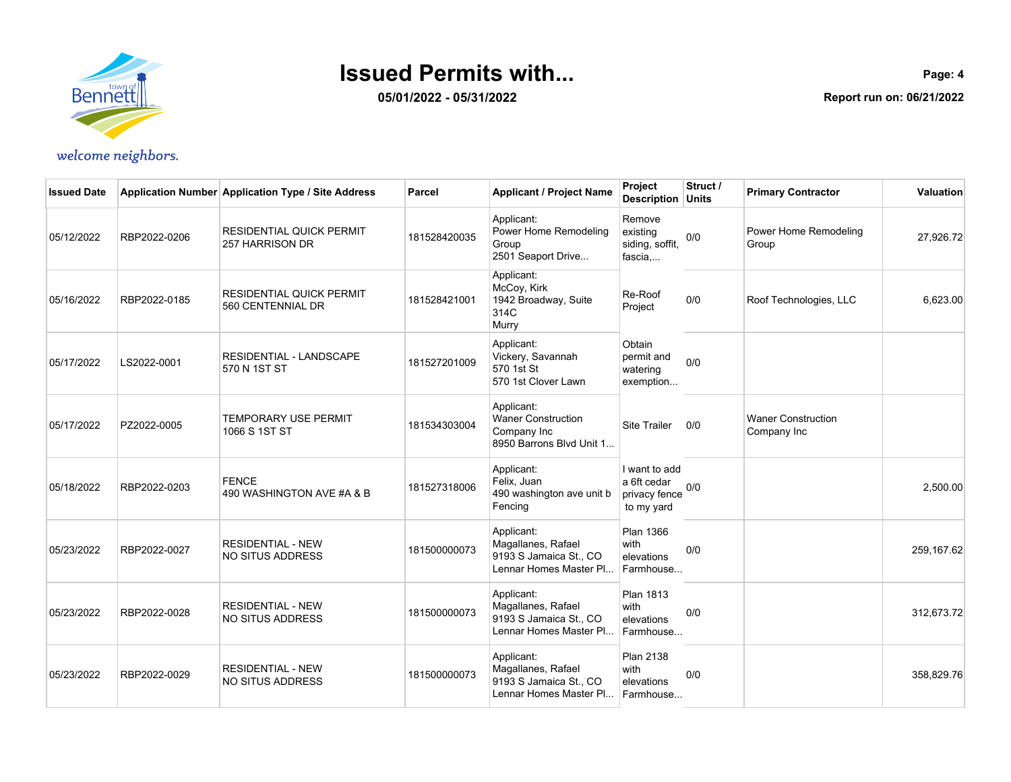

**05/01/2022 - 05/31/2022**

| <b>Issued Date</b> |              | Application Number Application Type / Site Address   | Parcel       | <b>Applicant / Project Name</b>                                                      | Project<br><b>Description Units</b>                         | Struct / | <b>Primary Contractor</b>                | Valuation  |
|--------------------|--------------|------------------------------------------------------|--------------|--------------------------------------------------------------------------------------|-------------------------------------------------------------|----------|------------------------------------------|------------|
| 05/12/2022         | RBP2022-0206 | <b>RESIDENTIAL QUICK PERMIT</b><br>257 HARRISON DR   | 181528420035 | Applicant:<br>Power Home Remodeling<br>Group<br>2501 Seaport Drive                   | Remove<br>existing<br>siding, soffit,<br>fascia,            | 0/0      | Power Home Remodeling<br>Group           | 27,926.72  |
| 05/16/2022         | RBP2022-0185 | <b>RESIDENTIAL QUICK PERMIT</b><br>560 CENTENNIAL DR | 181528421001 | Applicant:<br>McCoy, Kirk<br>1942 Broadway, Suite<br>314C<br>Murry                   | Re-Roof<br>Project                                          | 0/0      | Roof Technologies, LLC                   | 6,623.00   |
| 05/17/2022         | LS2022-0001  | RESIDENTIAL - LANDSCAPE<br>570 N 1ST ST              | 181527201009 | Applicant:<br>Vickery, Savannah<br>570 1st St<br>570 1st Clover Lawn                 | Obtain<br>permit and<br>watering<br>exemption               | 0/0      |                                          |            |
| 05/17/2022         | PZ2022-0005  | <b>TEMPORARY USE PERMIT</b><br>1066 S 1ST ST         | 181534303004 | Applicant:<br><b>Waner Construction</b><br>Company Inc<br>8950 Barrons Blvd Unit 1   | <b>Site Trailer</b>                                         | 0/0      | <b>Waner Construction</b><br>Company Inc |            |
| 05/18/2022         | RBP2022-0203 | <b>FENCE</b><br>490 WASHINGTON AVE #A & B            | 181527318006 | Applicant:<br>Felix, Juan<br>490 washington ave unit b<br>Fencing                    | I want to add<br>a 6ft cedar<br>privacy fence<br>to my yard | 0/0      |                                          | 2,500.00   |
| 05/23/2022         | RBP2022-0027 | <b>RESIDENTIAL - NEW</b><br>NO SITUS ADDRESS         | 181500000073 | Applicant:<br>Magallanes, Rafael<br>9193 S Jamaica St., CO<br>Lennar Homes Master Pl | <b>Plan 1366</b><br>with<br>elevations<br>Farmhouse         | 0/0      |                                          | 259.167.62 |
| 05/23/2022         | RBP2022-0028 | <b>RESIDENTIAL - NEW</b><br><b>NO SITUS ADDRESS</b>  | 181500000073 | Applicant:<br>Magallanes, Rafael<br>9193 S Jamaica St., CO<br>Lennar Homes Master Pl | <b>Plan 1813</b><br>with<br>elevations<br>Farmhouse         | 0/0      |                                          | 312,673.72 |
| 05/23/2022         | RBP2022-0029 | <b>RESIDENTIAL - NEW</b><br>NO SITUS ADDRESS         | 181500000073 | Applicant:<br>Magallanes, Rafael<br>9193 S Jamaica St., CO<br>Lennar Homes Master Pl | <b>Plan 2138</b><br>with<br>elevations<br>Farmhouse         | 0/0      |                                          | 358,829.76 |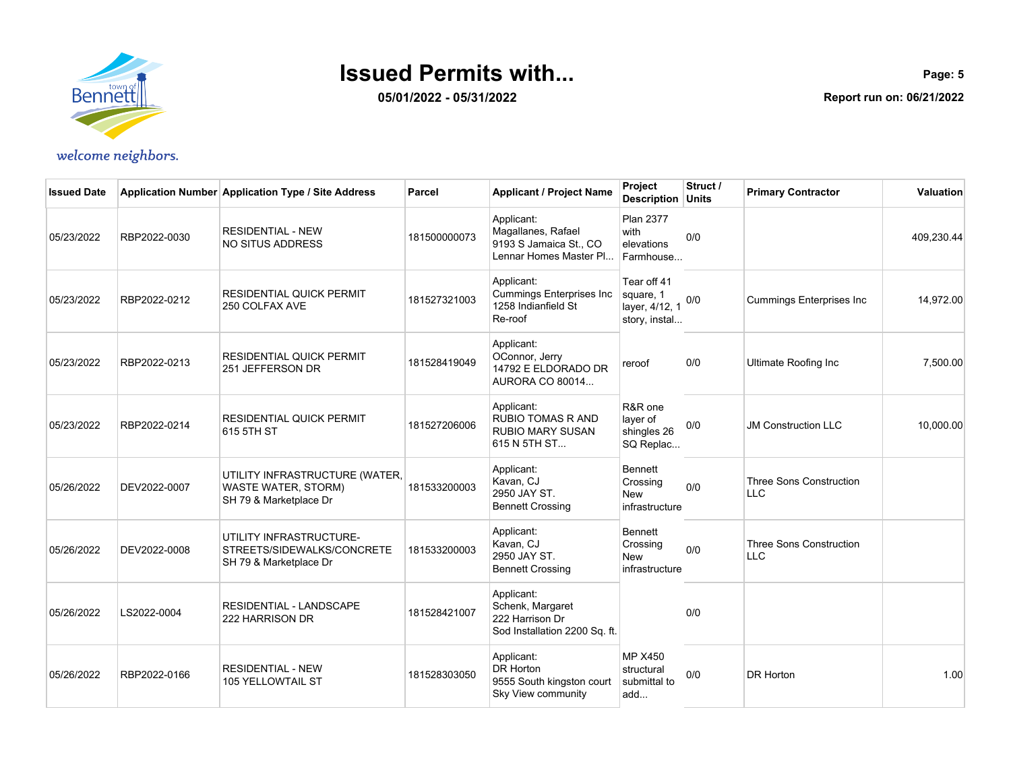

**05/01/2022 - 05/31/2022**

| <b>Issued Date</b> |              | Application Number Application Type / Site Address                                     | Parcel       | <b>Applicant / Project Name</b>                                                      | Project<br>Description Units                                | Struct / | <b>Primary Contractor</b>             | Valuation  |
|--------------------|--------------|----------------------------------------------------------------------------------------|--------------|--------------------------------------------------------------------------------------|-------------------------------------------------------------|----------|---------------------------------------|------------|
| 05/23/2022         | RBP2022-0030 | <b>RESIDENTIAL - NEW</b><br><b>NO SITUS ADDRESS</b>                                    | 181500000073 | Applicant:<br>Magallanes, Rafael<br>9193 S Jamaica St., CO<br>Lennar Homes Master Pl | <b>Plan 2377</b><br>with<br>elevations<br>Farmhouse         | 0/0      |                                       | 409,230.44 |
| 05/23/2022         | RBP2022-0212 | <b>RESIDENTIAL QUICK PERMIT</b><br>250 COLFAX AVE                                      | 181527321003 | Applicant:<br><b>Cummings Enterprises Inc</b><br>1258 Indianfield St<br>Re-roof      | Tear off 41<br>square, 1<br>layer, 4/12, 1<br>story, instal | 0/0      | <b>Cummings Enterprises Inc</b>       | 14,972.00  |
| 05/23/2022         | RBP2022-0213 | <b>RESIDENTIAL QUICK PERMIT</b><br>251 JEFFERSON DR                                    | 181528419049 | Applicant:<br>OConnor, Jerry<br>14792 E ELDORADO DR<br>AURORA CO 80014               | reroof                                                      | 0/0      | Ultimate Roofing Inc                  | 7,500.00   |
| 05/23/2022         | RBP2022-0214 | <b>RESIDENTIAL QUICK PERMIT</b><br>615 5TH ST                                          | 181527206006 | Applicant:<br><b>RUBIO TOMAS R AND</b><br><b>RUBIO MARY SUSAN</b><br>615 N 5TH ST    | R&R one<br>layer of<br>shingles 26<br>SQ Replac             | 0/0      | <b>JM Construction LLC</b>            | 10,000.00  |
| 05/26/2022         | DEV2022-0007 | UTILITY INFRASTRUCTURE (WATER,<br><b>WASTE WATER, STORM)</b><br>SH 79 & Marketplace Dr | 181533200003 | Applicant:<br>Kavan, CJ<br>2950 JAY ST.<br><b>Bennett Crossing</b>                   | <b>Bennett</b><br>Crossing<br><b>New</b><br>infrastructure  | 0/0      | <b>Three Sons Construction</b><br>LLC |            |
| 05/26/2022         | DEV2022-0008 | UTILITY INFRASTRUCTURE-<br>STREETS/SIDEWALKS/CONCRETE<br>SH 79 & Marketplace Dr        | 181533200003 | Applicant:<br>Kavan, CJ<br>2950 JAY ST.<br><b>Bennett Crossing</b>                   | <b>Bennett</b><br>Crossing<br>New<br>infrastructure         | 0/0      | Three Sons Construction<br>LLC        |            |
| 05/26/2022         | LS2022-0004  | <b>RESIDENTIAL - LANDSCAPE</b><br>222 HARRISON DR                                      | 181528421007 | Applicant:<br>Schenk, Margaret<br>222 Harrison Dr<br>Sod Installation 2200 Sq. ft.   |                                                             | 0/0      |                                       |            |
| 05/26/2022         | RBP2022-0166 | <b>RESIDENTIAL - NEW</b><br>105 YELLOWTAIL ST                                          | 181528303050 | Applicant:<br>DR Horton<br>9555 South kingston court<br>Sky View community           | <b>MP X450</b><br>structural<br>submittal to<br>add         | 0/0      | <b>DR Horton</b>                      | 1.00       |